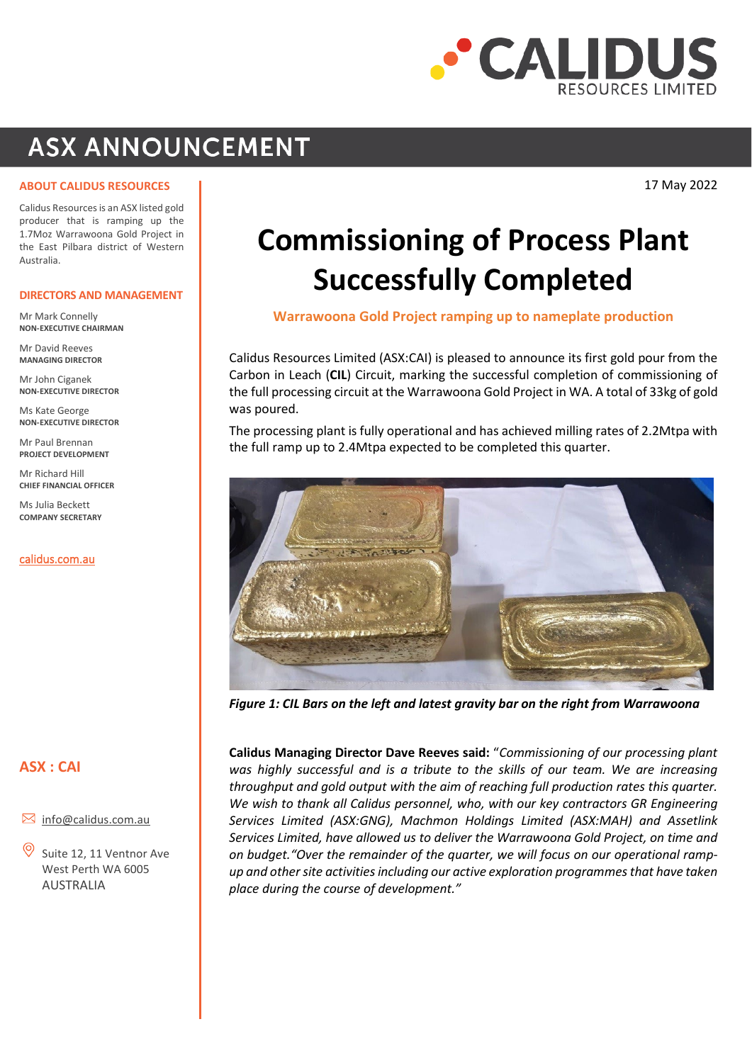

## **ASX ANNOUNCEMENT**

**ABOUT CALIDUS RESOURCES**

17 May 2022

Calidus Resources is an ASX listed gold producer that is ramping up the 1.7Moz Warrawoona Gold Project in the East Pilbara district of Western Australia.

#### **DIRECTORS AND MANAGEMENT**

Mr Mark Connelly **NON-EXECUTIVE CHAIRMAN**

Mr David Reeves **MANAGING DIRECTOR**

Mr John Ciganek **NON-EXECUTIVE DIRECTOR**

Ms Kate George **NON-EXECUTIVE DIRECTOR**

Mr Paul Brennan **PROJECT DEVELOPMENT**

Mr Richard Hill **CHIEF FINANCIAL OFFICER** 

Ms Julia Beckett **COMPANY SECRETARY**

[calidus.com.au](http://www.calidus.com.au/)

### **ASX : CAI**

- $\boxtimes$  [info@calidus.com.au](mailto:info@calidus.com.au)
- Suite 12, 11 Ventnor Ave West Perth WA 6005 AUSTRALIA

# **Commissioning of Process Plant Successfully Completed**

**Warrawoona Gold Project ramping up to nameplate production**

Calidus Resources Limited (ASX:CAI) is pleased to announce its first gold pour from the Carbon in Leach (**CIL**) Circuit, marking the successful completion of commissioning of the full processing circuit at the Warrawoona Gold Project in WA. A total of 33kg of gold was poured.

The processing plant is fully operational and has achieved milling rates of 2.2Mtpa with the full ramp up to 2.4Mtpa expected to be completed this quarter.



*Figure 1: CIL Bars on the left and latest gravity bar on the right from Warrawoona*

**Calidus Managing Director Dave Reeves said:** "*Commissioning of our processing plant was highly successful and is a tribute to the skills of our team. We are increasing throughput and gold output with the aim of reaching full production rates this quarter. We wish to thank all Calidus personnel, who, with our key contractors GR Engineering Services Limited (ASX:GNG), Machmon Holdings Limited (ASX:MAH) and Assetlink Services Limited, have allowed us to deliver the Warrawoona Gold Project, on time and on budget."Over the remainder of the quarter, we will focus on our operational rampup and other site activities including our active exploration programmes that have taken place during the course of development."*